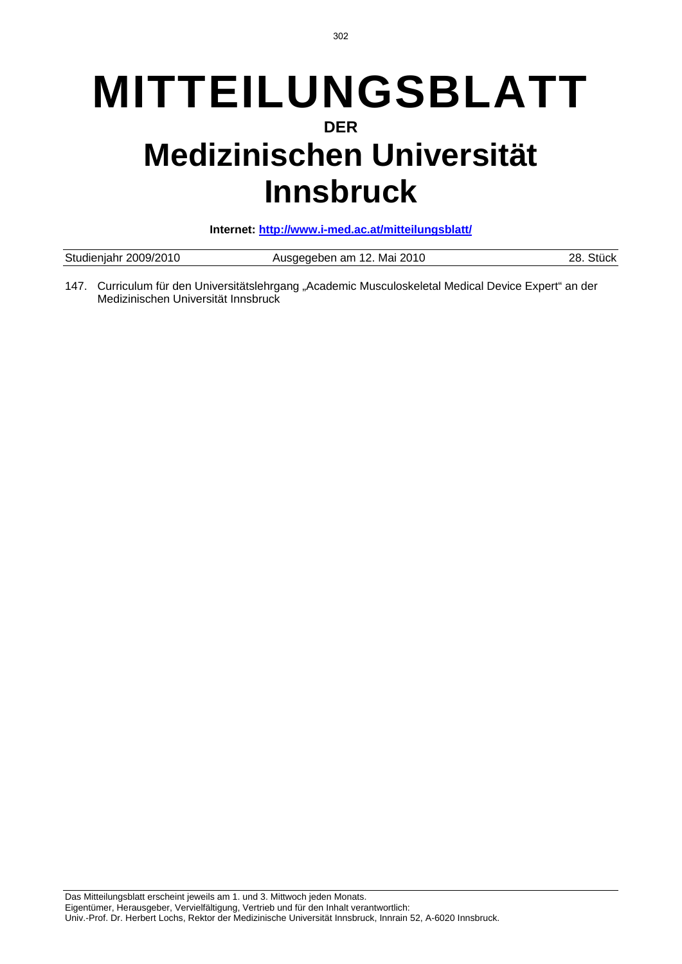# **MITTEILUNGSBLATT DER Medizinischen Universität Innsbruck**

**Internet: http://www.i-med.ac.at/mitteilungsblatt/**

| Studienjahr 2009/2010 | Ausgegeben am 12. Mai 2010 | Stück<br>28. |
|-----------------------|----------------------------|--------------|
|                       |                            |              |

147. Curriculum für den Universitätslehrgang "Academic Musculoskeletal Medical Device Expert" an der Medizinischen Universität Innsbruck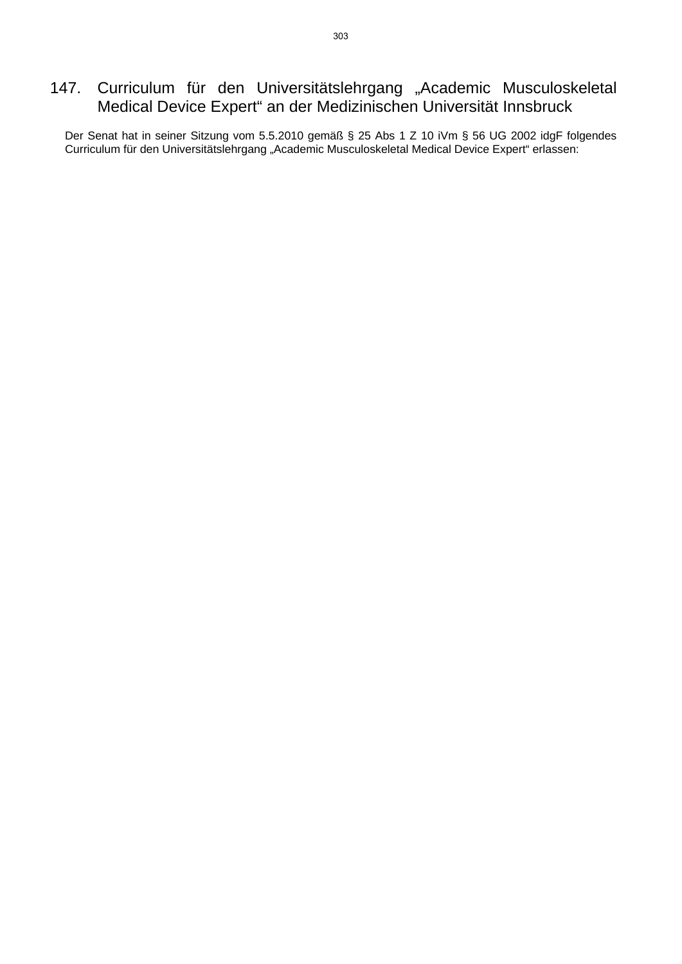# 147. Curriculum für den Universitätslehrgang "Academic Musculoskeletal Medical Device Expert" an der Medizinischen Universität Innsbruck

Der Senat hat in seiner Sitzung vom 5.5.2010 gemäß § 25 Abs 1 Z 10 iVm § 56 UG 2002 idgF folgendes Curriculum für den Universitätslehrgang "Academic Musculoskeletal Medical Device Expert" erlassen: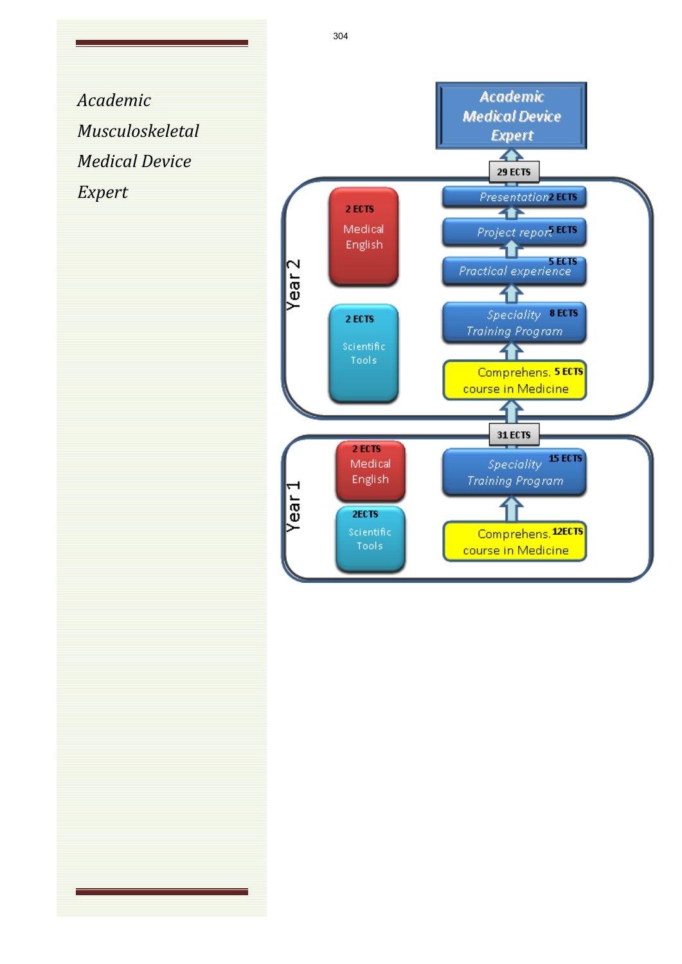*Academic Musculoskeletal Medical Device Expert*

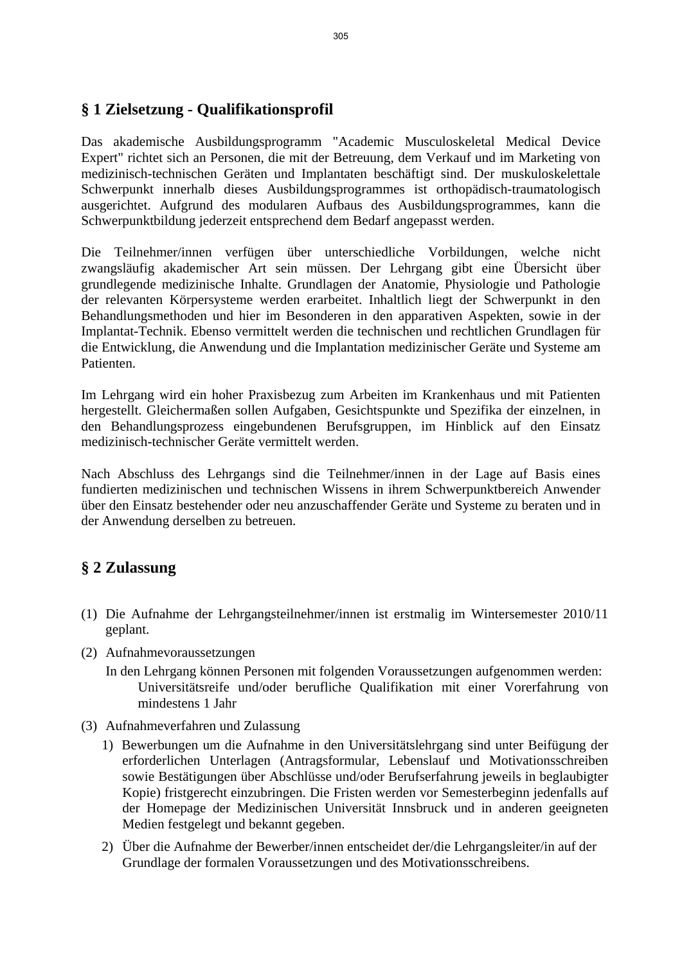### **§ 1 Zielsetzung - Qualifikationsprofil**

Das akademische Ausbildungsprogramm "Academic Musculoskeletal Medical Device Expert" richtet sich an Personen, die mit der Betreuung, dem Verkauf und im Marketing von medizinisch-technischen Geräten und Implantaten beschäftigt sind. Der muskuloskelettale Schwerpunkt innerhalb dieses Ausbildungsprogrammes ist orthopädisch-traumatologisch ausgerichtet. Aufgrund des modularen Aufbaus des Ausbildungsprogrammes, kann die Schwerpunktbildung jederzeit entsprechend dem Bedarf angepasst werden.

Die Teilnehmer/innen verfügen über unterschiedliche Vorbildungen, welche nicht zwangsläufig akademischer Art sein müssen. Der Lehrgang gibt eine Übersicht über grundlegende medizinische Inhalte. Grundlagen der Anatomie, Physiologie und Pathologie der relevanten Körpersysteme werden erarbeitet. Inhaltlich liegt der Schwerpunkt in den Behandlungsmethoden und hier im Besonderen in den apparativen Aspekten, sowie in der Implantat-Technik. Ebenso vermittelt werden die technischen und rechtlichen Grundlagen für die Entwicklung, die Anwendung und die Implantation medizinischer Geräte und Systeme am **Patienten** 

Im Lehrgang wird ein hoher Praxisbezug zum Arbeiten im Krankenhaus und mit Patienten hergestellt. Gleichermaßen sollen Aufgaben, Gesichtspunkte und Spezifika der einzelnen, in den Behandlungsprozess eingebundenen Berufsgruppen, im Hinblick auf den Einsatz medizinisch-technischer Geräte vermittelt werden.

Nach Abschluss des Lehrgangs sind die Teilnehmer/innen in der Lage auf Basis eines fundierten medizinischen und technischen Wissens in ihrem Schwerpunktbereich Anwender über den Einsatz bestehender oder neu anzuschaffender Geräte und Systeme zu beraten und in der Anwendung derselben zu betreuen.

### **§ 2 Zulassung**

- (1) Die Aufnahme der Lehrgangsteilnehmer/innen ist erstmalig im Wintersemester 2010/11 geplant.
- (2) Aufnahmevoraussetzungen
	- In den Lehrgang können Personen mit folgenden Voraussetzungen aufgenommen werden: Universitätsreife und/oder berufliche Qualifikation mit einer Vorerfahrung von mindestens 1 Jahr
- (3) Aufnahmeverfahren und Zulassung
	- 1) Bewerbungen um die Aufnahme in den Universitätslehrgang sind unter Beifügung der erforderlichen Unterlagen (Antragsformular, Lebenslauf und Motivationsschreiben sowie Bestätigungen über Abschlüsse und/oder Berufserfahrung jeweils in beglaubigter Kopie) fristgerecht einzubringen. Die Fristen werden vor Semesterbeginn jedenfalls auf der Homepage der Medizinischen Universität Innsbruck und in anderen geeigneten Medien festgelegt und bekannt gegeben.
	- 2) Über die Aufnahme der Bewerber/innen entscheidet der/die Lehrgangsleiter/in auf der Grundlage der formalen Voraussetzungen und des Motivationsschreibens.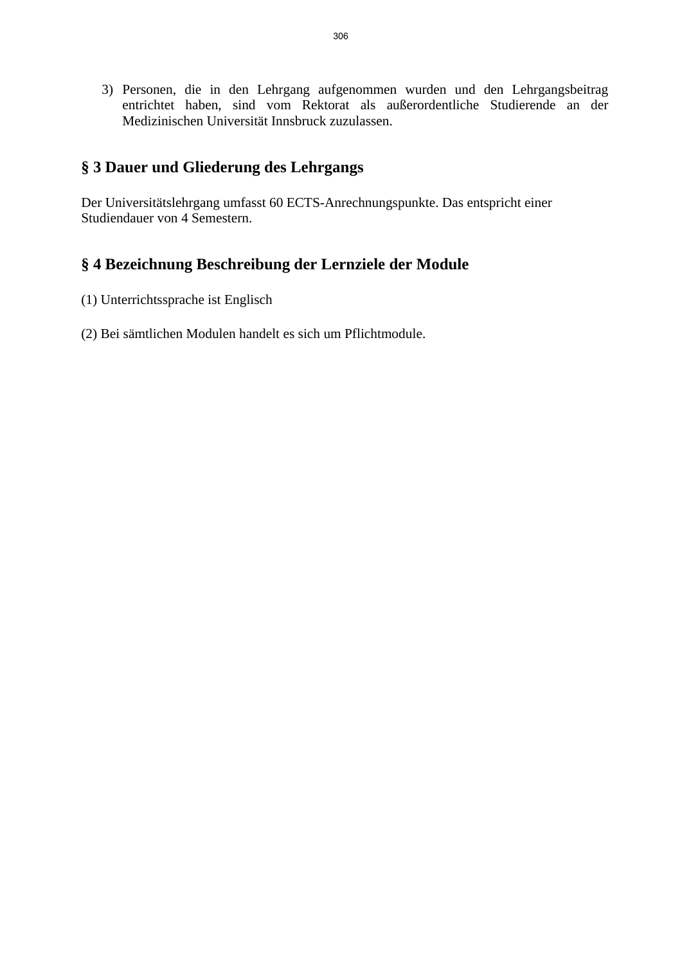3) Personen, die in den Lehrgang aufgenommen wurden und den Lehrgangsbeitrag entrichtet haben, sind vom Rektorat als außerordentliche Studierende an der Medizinischen Universität Innsbruck zuzulassen.

# **§ 3 Dauer und Gliederung des Lehrgangs**

Der Universitätslehrgang umfasst 60 ECTS-Anrechnungspunkte. Das entspricht einer Studiendauer von 4 Semestern.

# **§ 4 Bezeichnung Beschreibung der Lernziele der Module**

- (1) Unterrichtssprache ist Englisch
- (2) Bei sämtlichen Modulen handelt es sich um Pflichtmodule.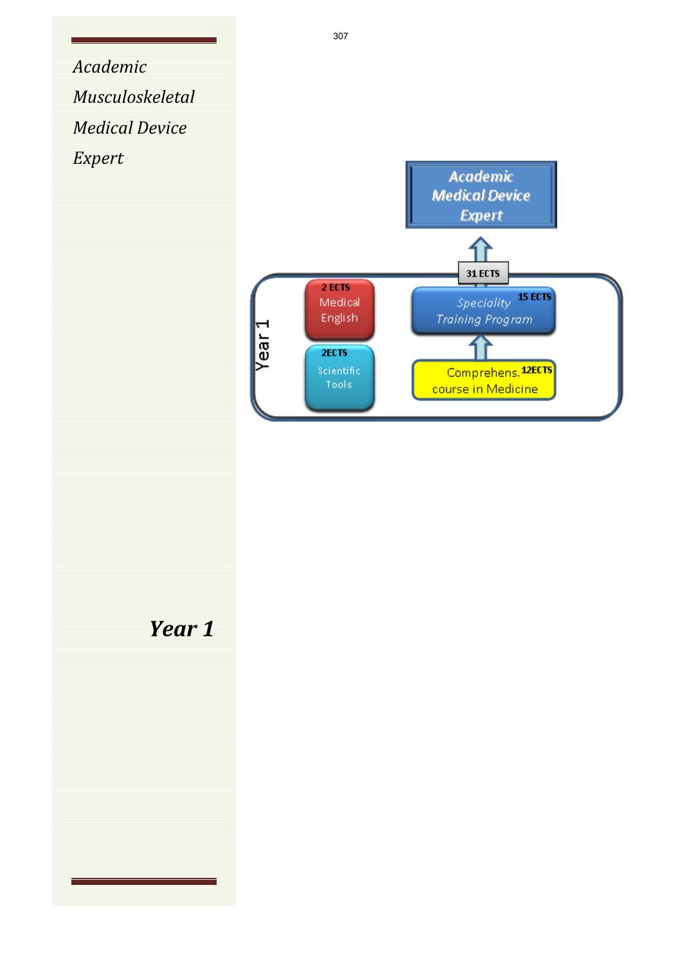*Academic Musculoskeletal Medical Device Expert*



*Year 1*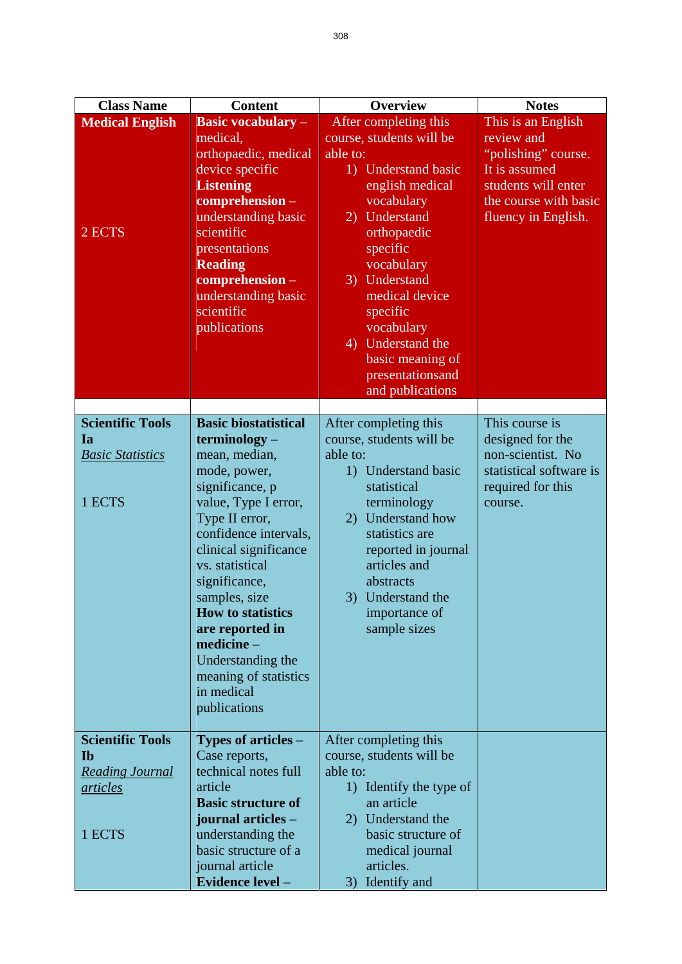| <b>Class Name</b>                                                                           | <b>Content</b>                                                                                                                                                                                                                                                                                                                                                                            | <b>Overview</b>                                                                                                                                                                                                                                                                                                               | <b>Notes</b>                                                                                                                                    |
|---------------------------------------------------------------------------------------------|-------------------------------------------------------------------------------------------------------------------------------------------------------------------------------------------------------------------------------------------------------------------------------------------------------------------------------------------------------------------------------------------|-------------------------------------------------------------------------------------------------------------------------------------------------------------------------------------------------------------------------------------------------------------------------------------------------------------------------------|-------------------------------------------------------------------------------------------------------------------------------------------------|
| <b>Medical English</b><br>2 ECTS                                                            | <b>Basic vocabulary -</b><br>medical,<br>orthopaedic, medical<br>device specific<br><b>Listening</b><br>comprehension -<br>understanding basic<br>scientific<br>presentations<br><b>Reading</b><br>comprehension-<br>understanding basic<br>scientific<br>publications                                                                                                                    | After completing this<br>course, students will be<br>able to:<br>1) Understand basic<br>english medical<br>vocabulary<br>2) Understand<br>orthopaedic<br>specific<br>vocabulary<br>3) Understand<br>medical device<br>specific<br>vocabulary<br>4) Understand the<br>basic meaning of<br>presentationsand<br>and publications | This is an English<br>review and<br>"polishing" course.<br>It is assumed<br>students will enter<br>the course with basic<br>fluency in English. |
| <b>Scientific Tools</b><br>Ia<br><b>Basic Statistics</b><br>1 ECTS                          | <b>Basic biostatistical</b><br>terminology -<br>mean, median,<br>mode, power,<br>significance, p<br>value, Type I error,<br>Type II error,<br>confidence intervals,<br>clinical significance<br>vs. statistical<br>significance,<br>samples, size<br><b>How to statistics</b><br>are reported in<br>medicine-<br>Understanding the<br>meaning of statistics<br>in medical<br>publications | After completing this<br>course, students will be<br>able to:<br>1) Understand basic<br>statistical<br>terminology<br>2) Understand how<br>statistics are<br>reported in journal<br>articles and<br>abstracts<br>3) Understand the<br>importance of<br>sample sizes                                                           | This course is<br>designed for the<br>non-scientist. No<br>statistical software is<br>required for this<br>course.                              |
| <b>Scientific Tools</b><br><b>Ib</b><br><b>Reading Journal</b><br><i>articles</i><br>1 ECTS | Types of articles –<br>Case reports,<br>technical notes full<br>article<br><b>Basic structure of</b><br>journal articles -<br>understanding the<br>basic structure of a<br>journal article<br>Evidence level -                                                                                                                                                                            | After completing this<br>course, students will be<br>able to:<br>1) Identify the type of<br>an article<br>2) Understand the<br>basic structure of<br>medical journal<br>articles.<br>3) Identify and                                                                                                                          |                                                                                                                                                 |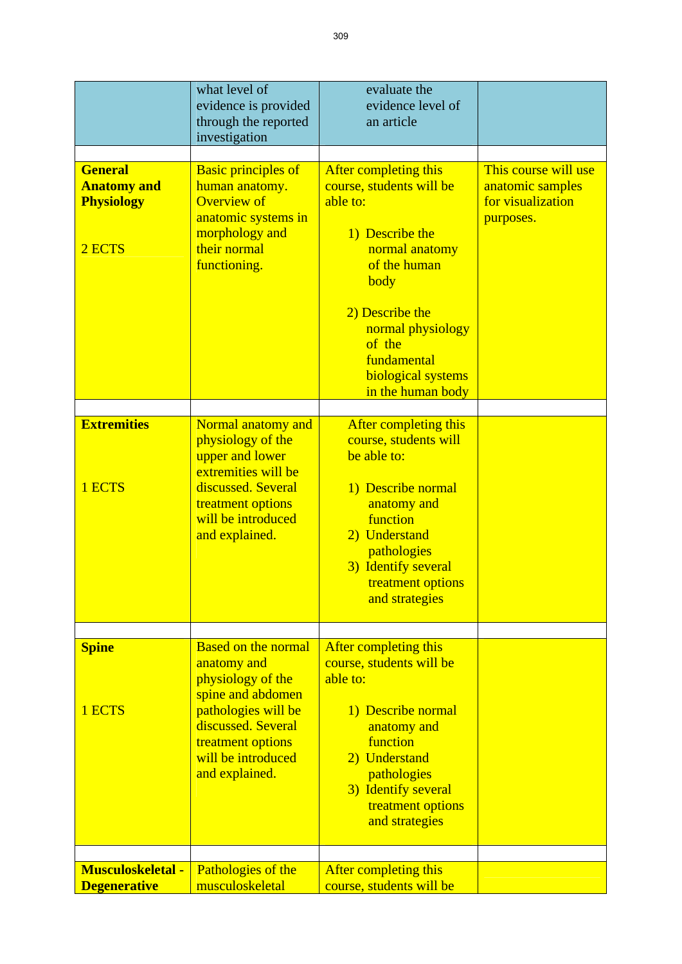|                                                                     | what level of<br>evidence is provided<br>through the reported<br>investigation                                                                                                                | evaluate the<br>evidence level of<br>an article                                                                                                                                                                                        |                                                                            |
|---------------------------------------------------------------------|-----------------------------------------------------------------------------------------------------------------------------------------------------------------------------------------------|----------------------------------------------------------------------------------------------------------------------------------------------------------------------------------------------------------------------------------------|----------------------------------------------------------------------------|
| <b>General</b><br><b>Anatomy and</b><br><b>Physiology</b><br>2 ECTS | <b>Basic principles of</b><br>human anatomy.<br><b>Overview of</b><br>anatomic systems in<br>morphology and<br>their normal<br>functioning.                                                   | After completing this<br>course, students will be<br>able to:<br>1) Describe the<br>normal anatomy<br>of the human<br>body<br>2) Describe the<br>normal physiology<br>of the<br>fundamental<br>biological systems<br>in the human body | This course will use<br>anatomic samples<br>for visualization<br>purposes. |
| <b>Extremities</b><br>1 ECTS                                        | Normal anatomy and<br>physiology of the<br>upper and lower<br>extremities will be<br>discussed. Several<br>treatment options<br>will be introduced<br>and explained.                          | After completing this<br>course, students will<br>be able to:<br>1) Describe normal<br>anatomy and<br>function<br>2) Understand<br>pathologies<br>3) Identify several<br>treatment options<br>and strategies                           |                                                                            |
| <b>Spine</b><br>1 ECTS                                              | <b>Based on the normal</b><br>anatomy and<br>physiology of the<br>spine and abdomen<br>pathologies will be<br>discussed. Several<br>treatment options<br>will be introduced<br>and explained. | After completing this<br>course, students will be<br>able to:<br>1) Describe normal<br>anatomy and<br>function<br>2) Understand<br>pathologies<br>3) Identify several<br>treatment options<br>and strategies                           |                                                                            |
| <b>Musculoskeletal -</b><br><b>Degenerative</b>                     | Pathologies of the<br>musculoskeletal                                                                                                                                                         | After completing this<br>course, students will be                                                                                                                                                                                      |                                                                            |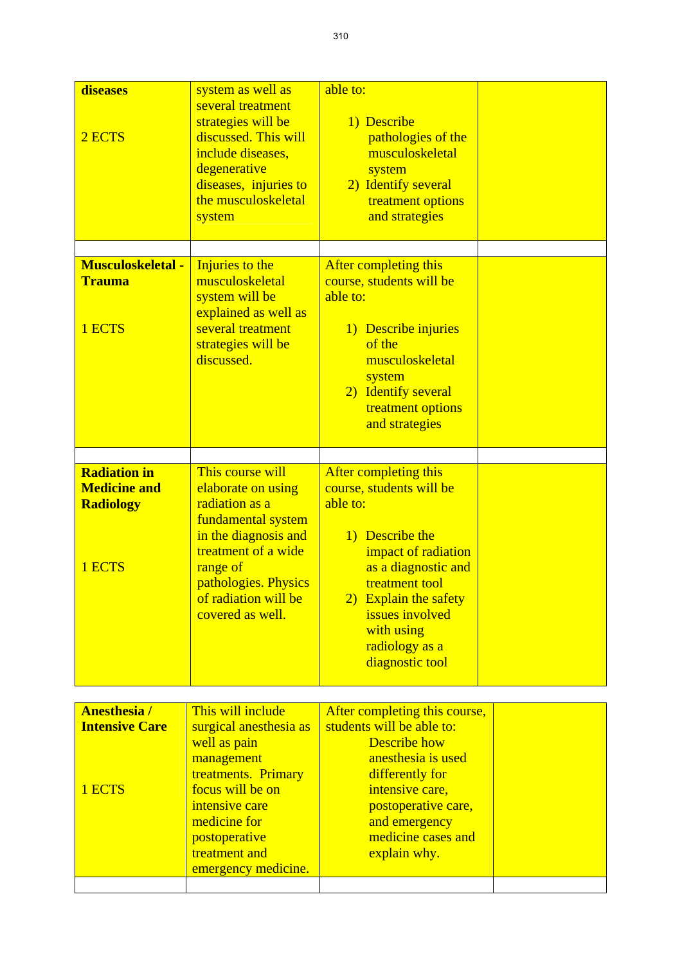| diseases                                              | system as well as                                                                                                                                                                         | able to:                                                                                                                                                                                                               |
|-------------------------------------------------------|-------------------------------------------------------------------------------------------------------------------------------------------------------------------------------------------|------------------------------------------------------------------------------------------------------------------------------------------------------------------------------------------------------------------------|
| 2 ECTS                                                | several treatment<br>strategies will be<br>discussed. This will<br>include diseases,<br>degenerative<br>diseases, injuries to<br>the musculoskeletal<br>system                            | 1) Describe<br>pathologies of the<br>musculoskeletal<br>system<br>2) Identify several<br>treatment options<br>and strategies                                                                                           |
|                                                       |                                                                                                                                                                                           |                                                                                                                                                                                                                        |
| <b>Musculoskeletal -</b><br><b>Trauma</b><br>1 ECTS   | Injuries to the<br>musculoskeletal<br>system will be<br>explained as well as<br>several treatment<br>strategies will be<br>discussed.                                                     | After completing this<br>course, students will be<br>able to:<br>1) Describe injuries<br>of the<br>musculoskeletal<br>system<br>2) Identify several<br>treatment options<br>and strategies                             |
|                                                       |                                                                                                                                                                                           |                                                                                                                                                                                                                        |
| <b>Radiation in</b><br><b>Medicine and</b>            | This course will                                                                                                                                                                          | After completing this                                                                                                                                                                                                  |
| <b>Radiology</b><br>1 ECTS                            | elaborate on using<br>radiation as a<br>fundamental system<br>in the diagnosis and<br>treatment of a wide<br>range of<br>pathologies. Physics<br>of radiation will be<br>covered as well. | course, students will be<br>able to:<br>1) Describe the<br>impact of radiation<br>as a diagnostic and<br>treatment tool<br>2) Explain the safety<br>issues involved<br>with using<br>radiology as a<br>diagnostic tool |
|                                                       |                                                                                                                                                                                           |                                                                                                                                                                                                                        |
| <b>Anesthesia/</b><br><b>Intensive Care</b><br>1 ECTS | This will include<br>surgical anesthesia as<br>well as pain<br>management<br>treatments. Primary<br>focus will be on<br>intensive care<br>medicine for                                    | After completing this course,<br>students will be able to:<br><b>Describe</b> how<br>anesthesia is used<br>differently for<br>intensive care,<br>postoperative care,<br>and emergency                                  |
|                                                       | postoperative                                                                                                                                                                             | medicine cases and                                                                                                                                                                                                     |
|                                                       | treatment and                                                                                                                                                                             | explain why.                                                                                                                                                                                                           |
|                                                       | emergency medicine.                                                                                                                                                                       |                                                                                                                                                                                                                        |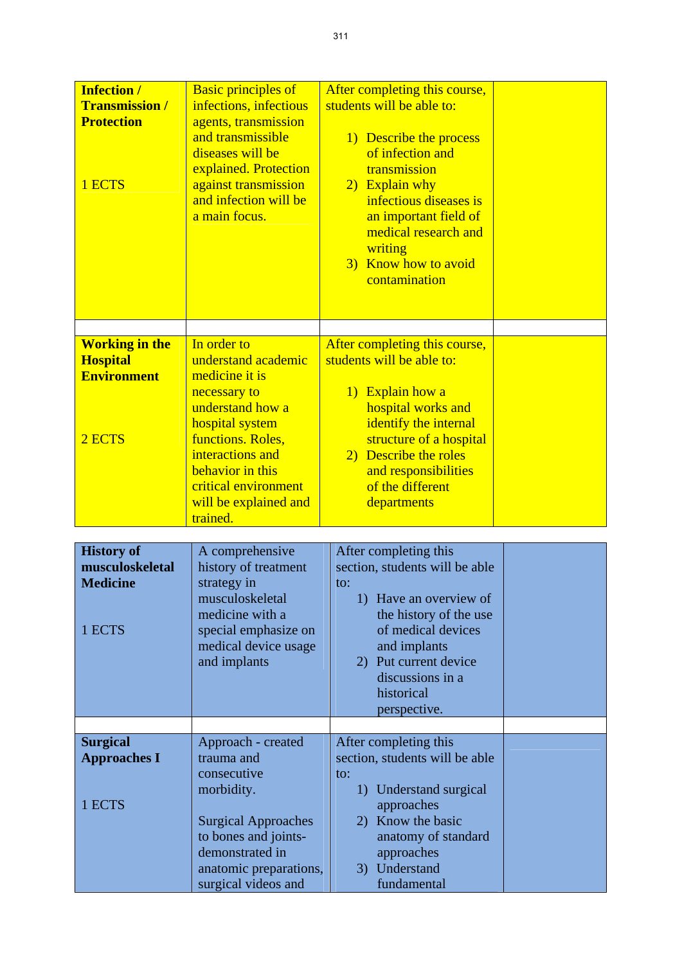| <b>Infection /</b><br><b>Transmission /</b><br><b>Protection</b><br>1 ECTS | <b>Basic principles of</b><br>infections, infectious<br>agents, transmission<br>and transmissible<br>diseases will be<br>explained. Protection<br>against transmission<br>and infection will be<br>a main focus.                      | After completing this course,<br>students will be able to:<br>1) Describe the process<br>of infection and<br>transmission<br>2) Explain why<br>infectious diseases is<br>an important field of<br>medical research and<br>writing<br>3) Know how to avoid<br>contamination |  |
|----------------------------------------------------------------------------|---------------------------------------------------------------------------------------------------------------------------------------------------------------------------------------------------------------------------------------|----------------------------------------------------------------------------------------------------------------------------------------------------------------------------------------------------------------------------------------------------------------------------|--|
| <b>Working in the</b><br><b>Hospital</b><br><b>Environment</b><br>2 ECTS   | In order to<br>understand academic<br>medicine it is<br>necessary to<br>understand how a<br>hospital system<br>functions. Roles,<br>interactions and<br>behavior in this<br>critical environment<br>will be explained and<br>trained. | After completing this course,<br>students will be able to:<br>1) Explain how a<br>hospital works and<br>identify the internal<br>structure of a hospital<br>2) Describe the roles<br>and responsibilities<br>of the different<br>departments                               |  |

| <b>History of</b><br>musculoskeletal<br><b>Medicine</b><br>1 ECTS | A comprehensive<br>history of treatment<br>strategy in<br>musculoskeletal<br>medicine with a<br>special emphasize on<br>medical device usage<br>and implants | After completing this<br>section, students will be able<br>to:<br>1) Have an overview of<br>the history of the use<br>of medical devices<br>and implants<br>2) Put current device<br>discussions in a<br>historical<br>perspective. |  |
|-------------------------------------------------------------------|--------------------------------------------------------------------------------------------------------------------------------------------------------------|-------------------------------------------------------------------------------------------------------------------------------------------------------------------------------------------------------------------------------------|--|
|                                                                   |                                                                                                                                                              |                                                                                                                                                                                                                                     |  |
| <b>Surgical</b><br><b>Approaches I</b>                            | Approach - created<br>trauma and                                                                                                                             | After completing this<br>section, students will be able                                                                                                                                                                             |  |
| 1 ECTS                                                            | consecutive<br>morbidity.                                                                                                                                    | to:<br>Understand surgical<br>1)<br>approaches                                                                                                                                                                                      |  |
|                                                                   | <b>Surgical Approaches</b><br>to bones and joints-<br>demonstrated in                                                                                        | 2) Know the basic<br>anatomy of standard<br>approaches                                                                                                                                                                              |  |
|                                                                   | anatomic preparations,<br>surgical videos and                                                                                                                | 3) Understand<br>fundamental                                                                                                                                                                                                        |  |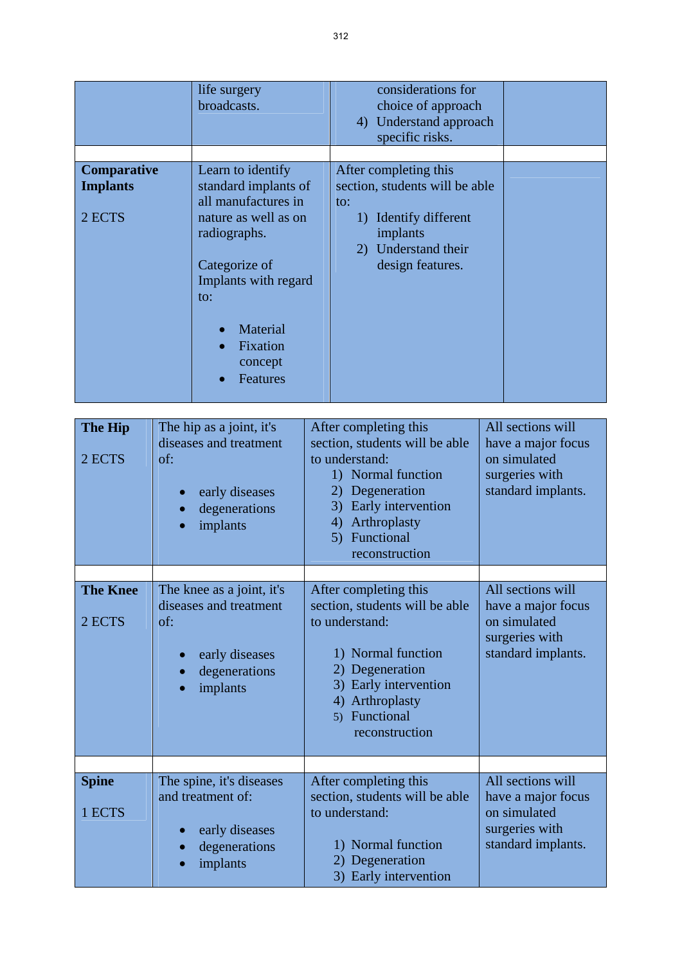| <b>Comparative</b><br>After completing this<br>Learn to identify<br>standard implants of<br>section, students will be able<br><b>Implants</b><br>all manufactures in<br>to:<br>2 ECTS<br>nature as well as on<br>1) Identify different<br>implants<br>radiographs.<br>2) Understand their<br>Categorize of<br>design features.<br>Implants with regard<br>to:<br>Material<br>Fixation<br>concept<br>Features | life surgery<br>broadcasts. | considerations for<br>choice of approach<br>4) Understand approach<br>specific risks. |  |
|--------------------------------------------------------------------------------------------------------------------------------------------------------------------------------------------------------------------------------------------------------------------------------------------------------------------------------------------------------------------------------------------------------------|-----------------------------|---------------------------------------------------------------------------------------|--|
|                                                                                                                                                                                                                                                                                                                                                                                                              |                             |                                                                                       |  |

| The Hip<br>2 ECTS | The hip as a joint, it's<br>diseases and treatment<br>of:<br>early diseases<br>degenerations<br>implants | After completing this<br>section, students will be able<br>to understand:<br>1) Normal function<br>Degeneration<br>2)<br>Early intervention<br>3)<br>Arthroplasty<br>4)<br>Functional<br>5)<br>reconstruction | All sections will<br>have a major focus<br>on simulated<br>surgeries with<br>standard implants. |
|-------------------|----------------------------------------------------------------------------------------------------------|---------------------------------------------------------------------------------------------------------------------------------------------------------------------------------------------------------------|-------------------------------------------------------------------------------------------------|
| <b>The Knee</b>   | The knee as a joint, it's                                                                                | After completing this                                                                                                                                                                                         | All sections will                                                                               |
|                   | diseases and treatment                                                                                   | section, students will be able                                                                                                                                                                                | have a major focus                                                                              |
| 2 ECTS            | of:                                                                                                      | to understand:                                                                                                                                                                                                | on simulated                                                                                    |
|                   | early diseases                                                                                           | 1) Normal function                                                                                                                                                                                            | surgeries with<br>standard implants.                                                            |
|                   | degenerations                                                                                            | Degeneration                                                                                                                                                                                                  |                                                                                                 |
|                   | implants                                                                                                 | Early intervention<br>3)<br>Arthroplasty<br>4)                                                                                                                                                                |                                                                                                 |
|                   |                                                                                                          | Functional<br>5)                                                                                                                                                                                              |                                                                                                 |
|                   |                                                                                                          | reconstruction                                                                                                                                                                                                |                                                                                                 |
|                   |                                                                                                          |                                                                                                                                                                                                               |                                                                                                 |
| <b>Spine</b>      | The spine, it's diseases<br>and treatment of:                                                            | After completing this<br>section, students will be able                                                                                                                                                       | All sections will                                                                               |
| 1 ECTS            |                                                                                                          | to understand:                                                                                                                                                                                                | have a major focus<br>on simulated                                                              |
|                   | early diseases                                                                                           |                                                                                                                                                                                                               | surgeries with                                                                                  |
|                   | degenerations<br>implants                                                                                | 1) Normal function<br>2) Degeneration                                                                                                                                                                         | standard implants.                                                                              |
|                   |                                                                                                          | 3) Early intervention                                                                                                                                                                                         |                                                                                                 |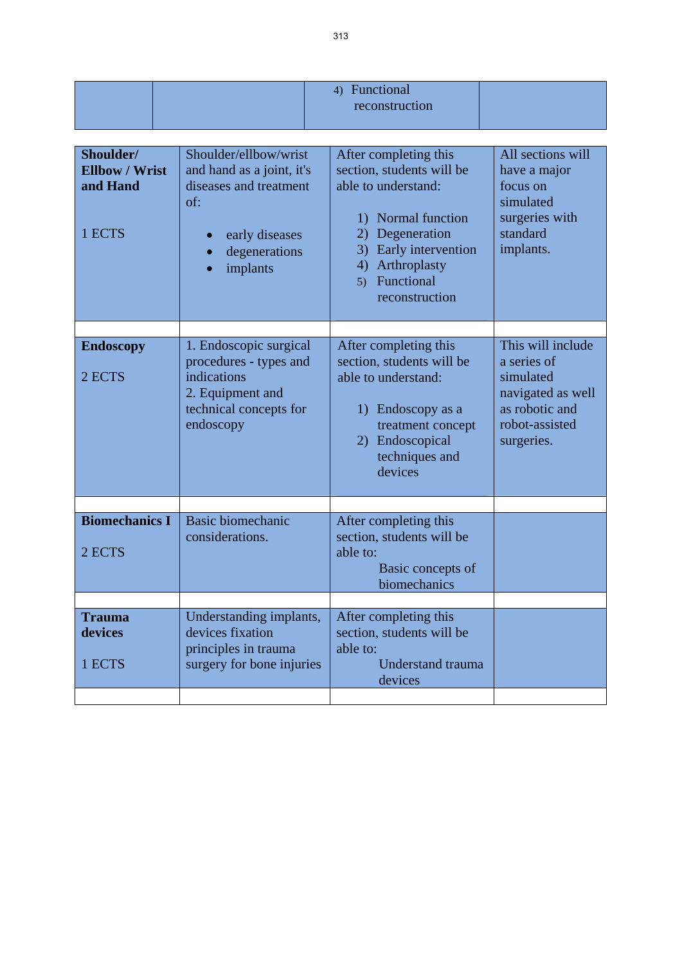|                                                          |                                                                                                                                    | 4) Functional<br>reconstruction                                                                                                                                                                               |                                                                                                                      |
|----------------------------------------------------------|------------------------------------------------------------------------------------------------------------------------------------|---------------------------------------------------------------------------------------------------------------------------------------------------------------------------------------------------------------|----------------------------------------------------------------------------------------------------------------------|
| Shoulder/<br><b>Ellbow / Wrist</b><br>and Hand<br>1 ECTS | Shoulder/ellbow/wrist<br>and hand as a joint, it's<br>diseases and treatment<br>of:<br>early diseases<br>degenerations<br>implants | After completing this<br>section, students will be<br>able to understand:<br>1) Normal function<br>Degeneration<br>2)<br>Early intervention<br>3)<br>Arthroplasty<br>4)<br>Functional<br>5)<br>reconstruction | All sections will<br>have a major<br>focus on<br>simulated<br>surgeries with<br>standard<br>implants.                |
| <b>Endoscopy</b><br>2 ECTS                               | 1. Endoscopic surgical<br>procedures - types and<br>indications<br>2. Equipment and<br>technical concepts for<br>endoscopy         | After completing this<br>section, students will be<br>able to understand:<br>1) Endoscopy as a<br>treatment concept<br>2) Endoscopical<br>techniques and<br>devices                                           | This will include<br>a series of<br>simulated<br>navigated as well<br>as robotic and<br>robot-assisted<br>surgeries. |
| <b>Biomechanics I</b><br>2 ECTS                          | <b>Basic biomechanic</b><br>considerations.                                                                                        | After completing this<br>section, students will be<br>able to:<br>Basic concepts of<br>biomechanics                                                                                                           |                                                                                                                      |
| <b>Trauma</b><br>devices<br>1 ECTS                       | Understanding implants,<br>devices fixation<br>principles in trauma<br>surgery for bone injuries                                   | After completing this<br>section, students will be<br>able to:<br><b>Understand trauma</b><br>devices                                                                                                         |                                                                                                                      |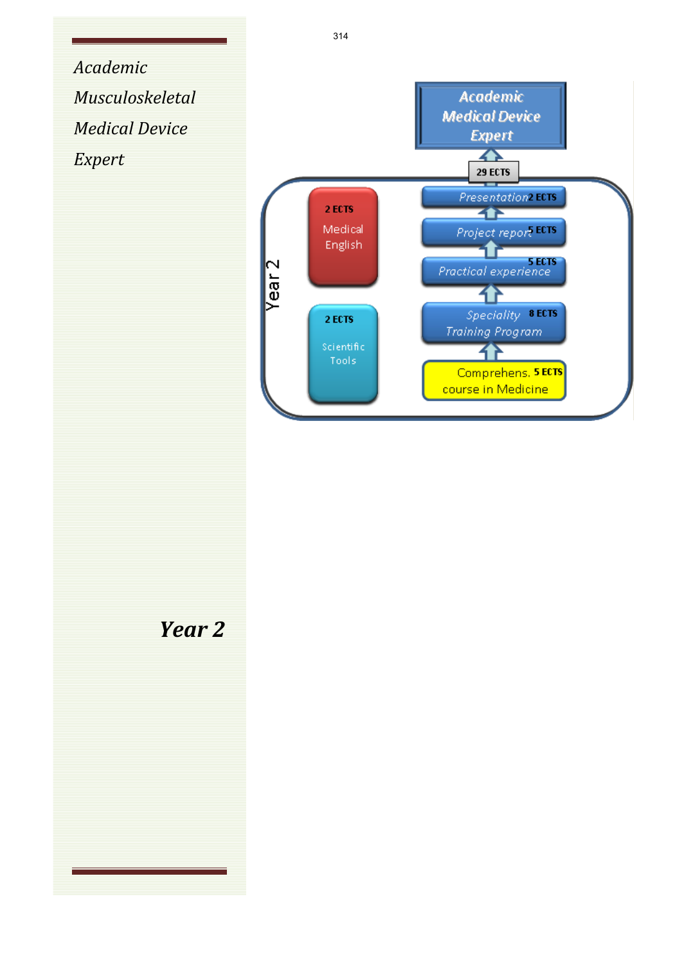*Academic Musculoskeletal Medical Device Expert*



*Year 2*

314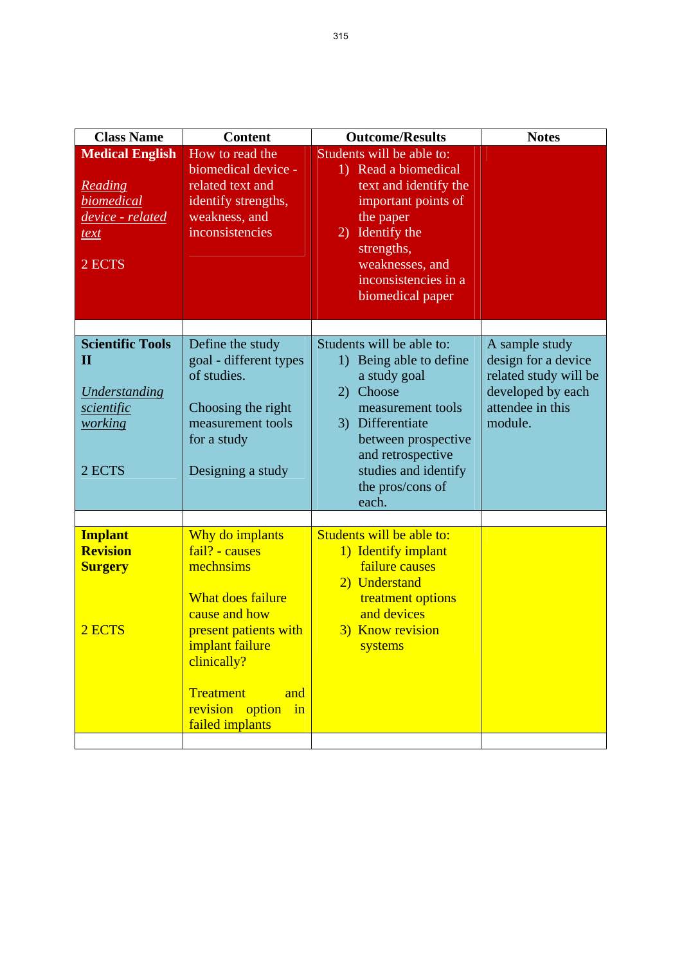| <b>Notes</b>                                                                                                       |
|--------------------------------------------------------------------------------------------------------------------|
|                                                                                                                    |
|                                                                                                                    |
| A sample study<br>design for a device<br>related study will be<br>developed by each<br>attendee in this<br>module. |
|                                                                                                                    |
|                                                                                                                    |
|                                                                                                                    |
|                                                                                                                    |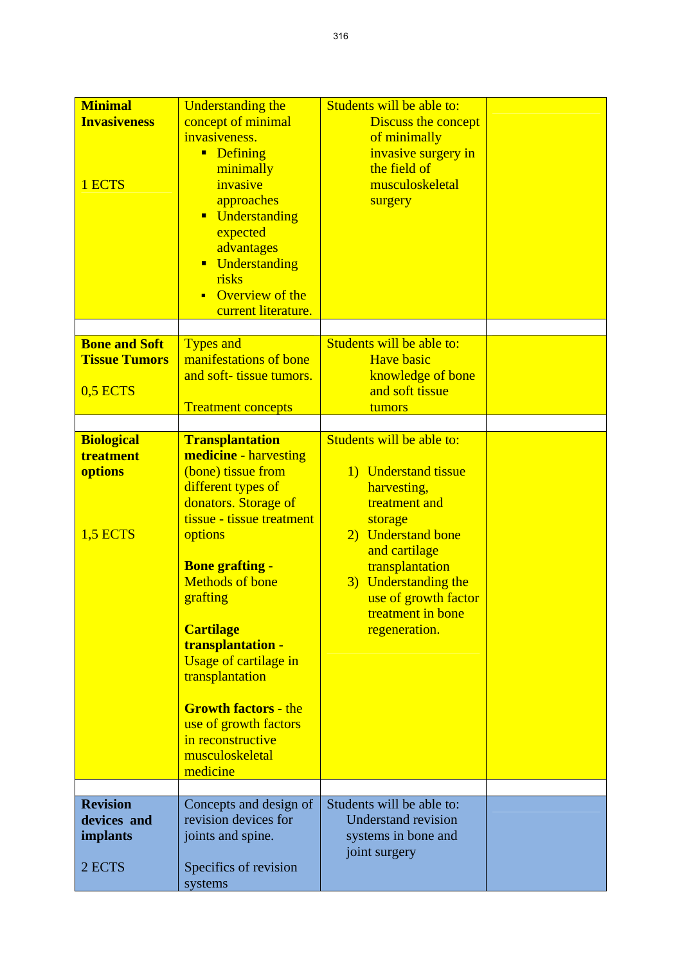| <b>Minimal</b><br><b>Invasiveness</b><br>1 ECTS          | <b>Understanding the</b><br>concept of minimal<br>invasiveness.<br><b>Defining</b><br>minimally<br>invasive<br>approaches<br>Understanding<br>$\blacksquare$<br>expected<br>advantages<br><b>Understanding</b><br>risks                                                                                                                                                                                                             | Students will be able to:<br>Discuss the concept<br>of minimally<br>invasive surgery in<br>the field of<br>musculoskeletal<br>surgery                                                                                                        |  |
|----------------------------------------------------------|-------------------------------------------------------------------------------------------------------------------------------------------------------------------------------------------------------------------------------------------------------------------------------------------------------------------------------------------------------------------------------------------------------------------------------------|----------------------------------------------------------------------------------------------------------------------------------------------------------------------------------------------------------------------------------------------|--|
|                                                          | Overview of the<br>$\blacksquare$<br>current literature.                                                                                                                                                                                                                                                                                                                                                                            |                                                                                                                                                                                                                                              |  |
| <b>Bone and Soft</b><br><b>Tissue Tumors</b><br>0,5 ECTS | <b>Types and</b><br>manifestations of bone<br>and soft-tissue tumors.<br><b>Treatment concepts</b>                                                                                                                                                                                                                                                                                                                                  | Students will be able to:<br><b>Have basic</b><br>knowledge of bone<br>and soft tissue<br>tumors                                                                                                                                             |  |
| <b>Biological</b><br>treatment<br>options<br>1,5 ECTS    | <b>Transplantation</b><br><b>medicine</b> - harvesting<br>(bone) tissue from<br>different types of<br>donators. Storage of<br>tissue - tissue treatment<br>options<br><b>Bone grafting -</b><br><b>Methods of bone</b><br>grafting<br><b>Cartilage</b><br>transplantation -<br>Usage of cartilage in<br>transplantation<br><b>Growth factors - the</b><br>use of growth factors<br>in reconstructive<br>musculoskeletal<br>medicine | Students will be able to:<br>1) Understand tissue<br>harvesting,<br>treatment and<br>storage<br>2) Understand bone<br>and cartilage<br>transplantation<br>3) Understanding the<br>use of growth factor<br>treatment in bone<br>regeneration. |  |
| <b>Revision</b><br>devices and<br>implants<br>2 ECTS     | Concepts and design of<br>revision devices for<br>joints and spine.<br>Specifics of revision<br>systems                                                                                                                                                                                                                                                                                                                             | Students will be able to:<br><b>Understand revision</b><br>systems in bone and<br>joint surgery                                                                                                                                              |  |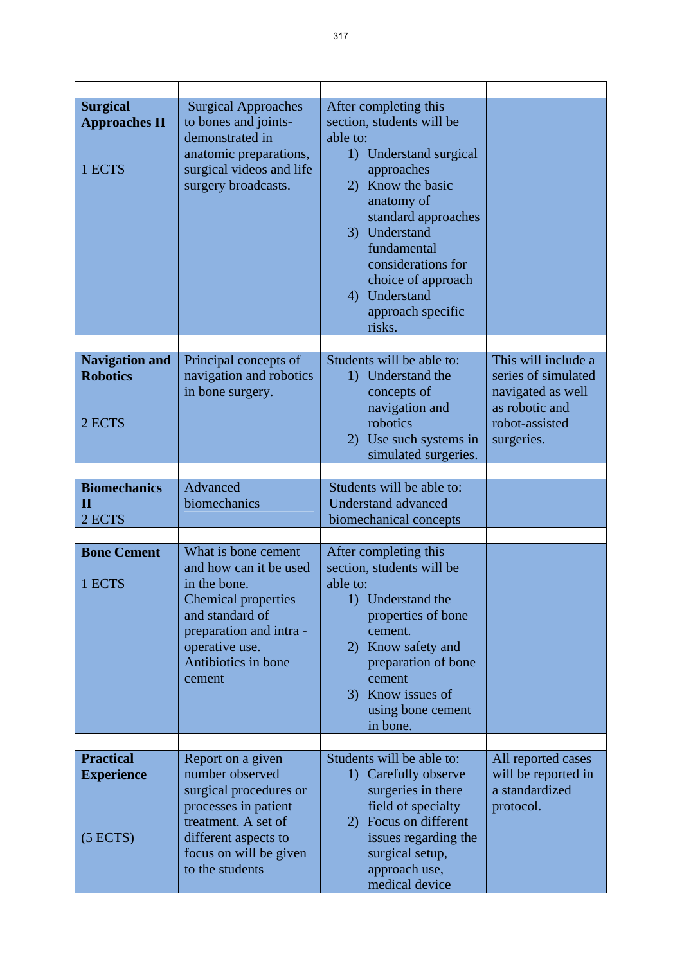| <b>Surgical</b><br><b>Approaches II</b><br>1 ECTS | <b>Surgical Approaches</b><br>to bones and joints-<br>demonstrated in<br>anatomic preparations,<br>surgical videos and life<br>surgery broadcasts.                                    | After completing this<br>section, students will be<br>able to:<br>1) Understand surgical<br>approaches<br>2) Know the basic<br>anatomy of                                                                                |                                                                              |
|---------------------------------------------------|---------------------------------------------------------------------------------------------------------------------------------------------------------------------------------------|--------------------------------------------------------------------------------------------------------------------------------------------------------------------------------------------------------------------------|------------------------------------------------------------------------------|
|                                                   |                                                                                                                                                                                       |                                                                                                                                                                                                                          |                                                                              |
|                                                   |                                                                                                                                                                                       |                                                                                                                                                                                                                          |                                                                              |
|                                                   |                                                                                                                                                                                       | standard approaches<br>3) Understand<br>fundamental<br>considerations for<br>choice of approach<br>4) Understand<br>approach specific<br>risks.                                                                          |                                                                              |
| <b>Navigation and</b>                             | Principal concepts of                                                                                                                                                                 | Students will be able to:                                                                                                                                                                                                | This will include a                                                          |
| <b>Robotics</b><br>2 ECTS                         | navigation and robotics<br>in bone surgery.                                                                                                                                           | 1) Understand the<br>concepts of<br>navigation and<br>robotics                                                                                                                                                           | series of simulated<br>navigated as well<br>as robotic and<br>robot-assisted |
|                                                   |                                                                                                                                                                                       | 2) Use such systems in<br>simulated surgeries.                                                                                                                                                                           | surgeries.                                                                   |
|                                                   |                                                                                                                                                                                       |                                                                                                                                                                                                                          |                                                                              |
| <b>Biomechanics</b><br>$\mathbf H$<br>2 ECTS      | Advanced<br>biomechanics                                                                                                                                                              | Students will be able to:<br><b>Understand advanced</b><br>biomechanical concepts                                                                                                                                        |                                                                              |
|                                                   |                                                                                                                                                                                       |                                                                                                                                                                                                                          |                                                                              |
| <b>Bone Cement</b><br>1 ECTS                      | What is bone cement<br>and how can it be used<br>in the bone.<br>Chemical properties<br>and standard of<br>preparation and intra -<br>operative use.<br>Antibiotics in bone<br>cement | After completing this<br>section, students will be<br>able to:<br>Understand the<br>1)<br>properties of bone<br>cement.<br>2) Know safety and<br>preparation of bone<br>cement<br>3) Know issues of<br>using bone cement |                                                                              |
|                                                   |                                                                                                                                                                                       | in bone.                                                                                                                                                                                                                 |                                                                              |
| <b>Practical</b>                                  | Report on a given                                                                                                                                                                     | Students will be able to:                                                                                                                                                                                                | All reported cases                                                           |
| <b>Experience</b><br>(5 ECTS)                     | number observed<br>surgical procedures or<br>processes in patient<br>treatment. A set of<br>different aspects to<br>focus on will be given<br>to the students                         | 1) Carefully observe<br>surgeries in there<br>field of specialty<br>Focus on different<br>2)<br>issues regarding the<br>surgical setup,<br>approach use,                                                                 | will be reported in<br>a standardized<br>protocol.                           |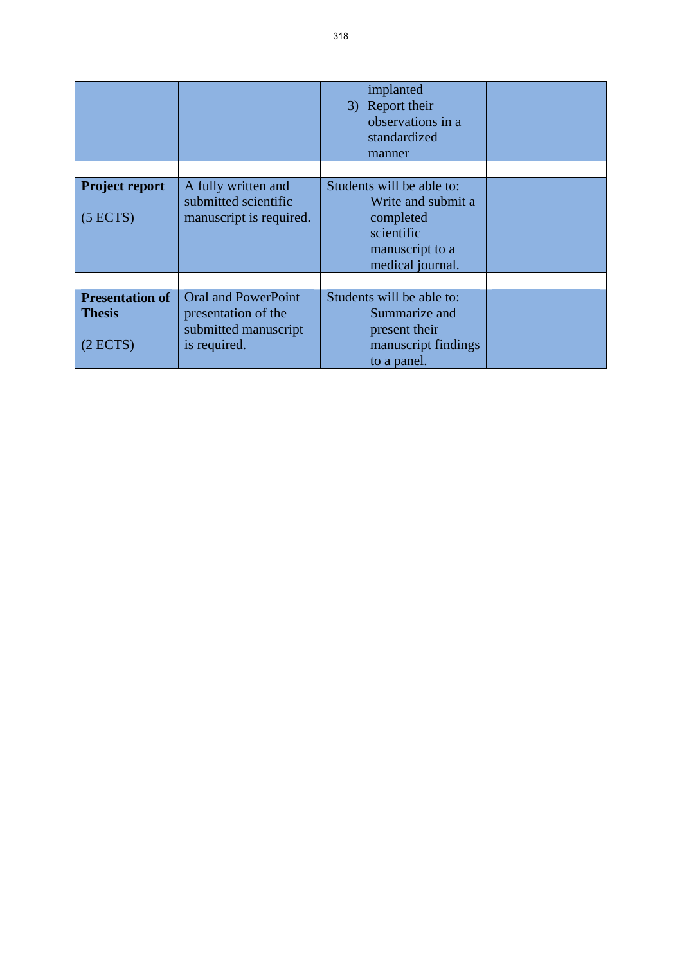|                                                     |                                                                                           | implanted<br>3) Report their<br>observations in a<br>standardized<br>manner                       |  |
|-----------------------------------------------------|-------------------------------------------------------------------------------------------|---------------------------------------------------------------------------------------------------|--|
|                                                     |                                                                                           |                                                                                                   |  |
| <b>Project report</b><br>(5 ECTS)                   | A fully written and<br>submitted scientific<br>manuscript is required.                    | Students will be able to:<br>Write and submit a<br>completed<br>scientific<br>manuscript to a     |  |
|                                                     |                                                                                           | medical journal.                                                                                  |  |
|                                                     |                                                                                           |                                                                                                   |  |
| <b>Presentation of</b><br><b>Thesis</b><br>(2 ECTS) | <b>Oral and PowerPoint</b><br>presentation of the<br>submitted manuscript<br>is required. | Students will be able to:<br>Summarize and<br>present their<br>manuscript findings<br>to a panel. |  |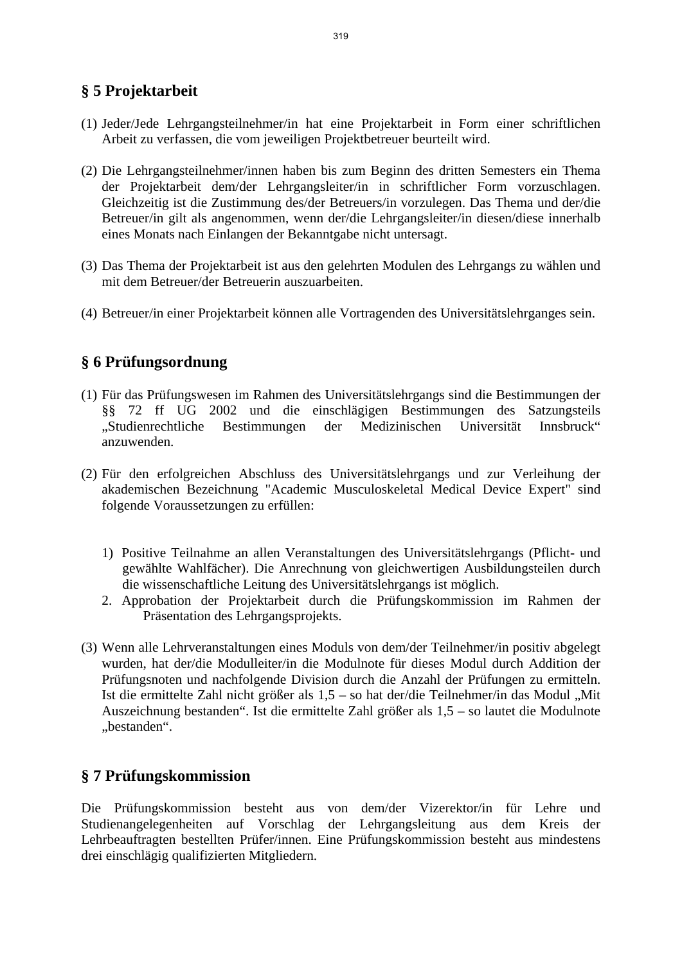# **§ 5 Projektarbeit**

- (1) Jeder/Jede Lehrgangsteilnehmer/in hat eine Projektarbeit in Form einer schriftlichen Arbeit zu verfassen, die vom jeweiligen Projektbetreuer beurteilt wird.
- (2) Die Lehrgangsteilnehmer/innen haben bis zum Beginn des dritten Semesters ein Thema der Projektarbeit dem/der Lehrgangsleiter/in in schriftlicher Form vorzuschlagen. Gleichzeitig ist die Zustimmung des/der Betreuers/in vorzulegen. Das Thema und der/die Betreuer/in gilt als angenommen, wenn der/die Lehrgangsleiter/in diesen/diese innerhalb eines Monats nach Einlangen der Bekanntgabe nicht untersagt.
- (3) Das Thema der Projektarbeit ist aus den gelehrten Modulen des Lehrgangs zu wählen und mit dem Betreuer/der Betreuerin auszuarbeiten.
- (4) Betreuer/in einer Projektarbeit können alle Vortragenden des Universitätslehrganges sein.

### **§ 6 Prüfungsordnung**

- (1) Für das Prüfungswesen im Rahmen des Universitätslehrgangs sind die Bestimmungen der §§ 72 ff UG 2002 und die einschlägigen Bestimmungen des Satzungsteils "Studienrechtliche Bestimmungen der Medizinischen Universität Innsbruck" anzuwenden.
- (2) Für den erfolgreichen Abschluss des Universitätslehrgangs und zur Verleihung der akademischen Bezeichnung "Academic Musculoskeletal Medical Device Expert" sind folgende Voraussetzungen zu erfüllen:
	- 1) Positive Teilnahme an allen Veranstaltungen des Universitätslehrgangs (Pflicht- und gewählte Wahlfächer). Die Anrechnung von gleichwertigen Ausbildungsteilen durch die wissenschaftliche Leitung des Universitätslehrgangs ist möglich.
	- 2. Approbation der Projektarbeit durch die Prüfungskommission im Rahmen der Präsentation des Lehrgangsprojekts.
- (3) Wenn alle Lehrveranstaltungen eines Moduls von dem/der Teilnehmer/in positiv abgelegt wurden, hat der/die Modulleiter/in die Modulnote für dieses Modul durch Addition der Prüfungsnoten und nachfolgende Division durch die Anzahl der Prüfungen zu ermitteln. Ist die ermittelte Zahl nicht größer als  $1,5 -$  so hat der/die Teilnehmer/in das Modul "Mit Auszeichnung bestanden". Ist die ermittelte Zahl größer als 1,5 – so lautet die Modulnote .bestanden".

### **§ 7 Prüfungskommission**

Die Prüfungskommission besteht aus von dem/der Vizerektor/in für Lehre und Studienangelegenheiten auf Vorschlag der Lehrgangsleitung aus dem Kreis der Lehrbeauftragten bestellten Prüfer/innen. Eine Prüfungskommission besteht aus mindestens drei einschlägig qualifizierten Mitgliedern.